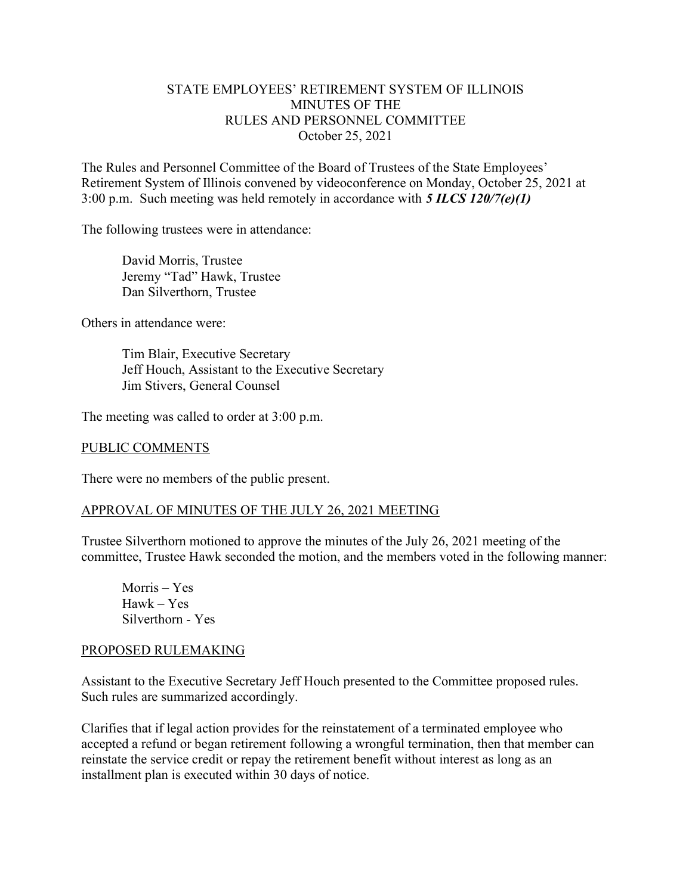## STATE EMPLOYEES' RETIREMENT SYSTEM OF ILLINOIS MINUTES OF THE RULES AND PERSONNEL COMMITTEE October 25, 2021

The Rules and Personnel Committee of the Board of Trustees of the State Employees' Retirement System of Illinois convened by videoconference on Monday, October 25, 2021 at 3:00 p.m. Such meeting was held remotely in accordance with  $5$  ILCS 120/7(e)(1)

The following trustees were in attendance:

 David Morris, Trustee Jeremy "Tad" Hawk, Trustee Dan Silverthorn, Trustee

Others in attendance were:

 Tim Blair, Executive Secretary Jeff Houch, Assistant to the Executive Secretary Jim Stivers, General Counsel

The meeting was called to order at 3:00 p.m.

#### PUBLIC COMMENTS

There were no members of the public present.

### APPROVAL OF MINUTES OF THE JULY 26, 2021 MEETING

Trustee Silverthorn motioned to approve the minutes of the July 26, 2021 meeting of the committee, Trustee Hawk seconded the motion, and the members voted in the following manner:

Morris – Yes Hawk – Yes Silverthorn - Yes

#### PROPOSED RULEMAKING

Assistant to the Executive Secretary Jeff Houch presented to the Committee proposed rules. Such rules are summarized accordingly.

Clarifies that if legal action provides for the reinstatement of a terminated employee who accepted a refund or began retirement following a wrongful termination, then that member can reinstate the service credit or repay the retirement benefit without interest as long as an installment plan is executed within 30 days of notice.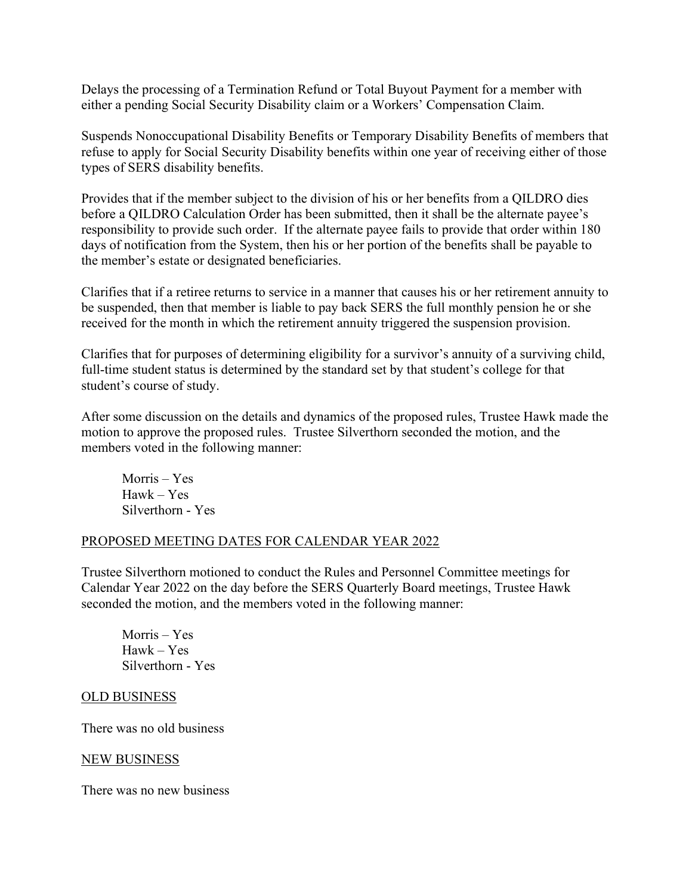Delays the processing of a Termination Refund or Total Buyout Payment for a member with either a pending Social Security Disability claim or a Workers' Compensation Claim.

Suspends Nonoccupational Disability Benefits or Temporary Disability Benefits of members that refuse to apply for Social Security Disability benefits within one year of receiving either of those types of SERS disability benefits.

Provides that if the member subject to the division of his or her benefits from a QILDRO dies before a QILDRO Calculation Order has been submitted, then it shall be the alternate payee's responsibility to provide such order. If the alternate payee fails to provide that order within 180 days of notification from the System, then his or her portion of the benefits shall be payable to the member's estate or designated beneficiaries.

Clarifies that if a retiree returns to service in a manner that causes his or her retirement annuity to be suspended, then that member is liable to pay back SERS the full monthly pension he or she received for the month in which the retirement annuity triggered the suspension provision.

Clarifies that for purposes of determining eligibility for a survivor's annuity of a surviving child, full-time student status is determined by the standard set by that student's college for that student's course of study.

After some discussion on the details and dynamics of the proposed rules, Trustee Hawk made the motion to approve the proposed rules. Trustee Silverthorn seconded the motion, and the members voted in the following manner:

Morris – Yes Hawk – Yes Silverthorn - Yes

### PROPOSED MEETING DATES FOR CALENDAR YEAR 2022

Trustee Silverthorn motioned to conduct the Rules and Personnel Committee meetings for Calendar Year 2022 on the day before the SERS Quarterly Board meetings, Trustee Hawk seconded the motion, and the members voted in the following manner:

Morris – Yes Hawk – Yes Silverthorn - Yes

### OLD BUSINESS

There was no old business

### NEW BUSINESS

There was no new business